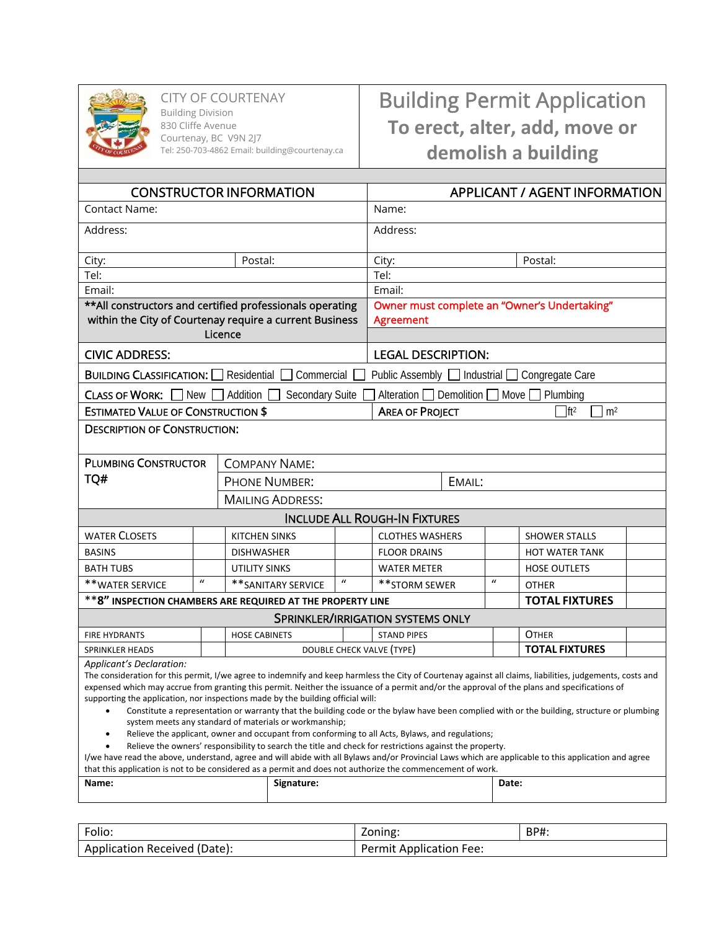

CITY OF COURTENAY Building Division

830 Cliffe Avenue Courtenay, BC V9N 2J7 Tel: 250-703-4862 Email: building@courtenay.ca

## Building Permit Application **To erect, alter, add, move or demolish a building**

| <b>Contact Name:</b><br>Name:<br>Address:<br>Address:<br>Postal:<br>Postal:<br>City:<br>City:<br>Tel:<br>Tel:<br>Email:<br>Email:<br>** All constructors and certified professionals operating<br>Owner must complete an "Owner's Undertaking"<br>within the City of Courtenay require a current Business<br><b>Agreement</b><br>Licence<br><b>CIVIC ADDRESS:</b><br><b>LEGAL DESCRIPTION:</b><br><b>BUILDING CLASSIFICATION:</b> Residential<br>Commercial<br>Public Assembly □ Industrial □ Congregate Care<br>CLASS OF WORK: $\Box$ New $\Box$ Addition<br>Secondary Suite<br>Alteration $\Box$ Demolition $\Box$<br>Move $\Box$<br>Plumbing<br><b>ESTIMATED VALUE OF CONSTRUCTION \$</b><br>$\prod_{ }$ ft <sup>2</sup><br><b>AREA OF PROJECT</b><br>m <sup>2</sup><br><b>DESCRIPTION OF CONSTRUCTION:</b><br><b>PLUMBING CONSTRUCTOR</b><br><b>COMPANY NAME:</b><br>TQ#<br><b>PHONE NUMBER:</b><br>EMAIL:<br><b>MAILING ADDRESS:</b><br><b>INCLUDE ALL ROUGH-IN FIXTURES</b><br><b>WATER CLOSETS</b><br><b>KITCHEN SINKS</b><br><b>CLOTHES WASHERS</b><br><b>SHOWER STALLS</b><br><b>BASINS</b><br><b>DISHWASHER</b><br><b>FLOOR DRAINS</b><br><b>HOT WATER TANK</b><br><b>BATH TUBS</b><br><b>UTILITY SINKS</b><br><b>WATER METER</b><br><b>HOSE OUTLETS</b><br>$\boldsymbol{u}$<br>$\boldsymbol{u}$<br>$\mathcal{U}$<br>** WATER SERVICE<br>** SANITARY SERVICE<br>** STORM SEWER<br><b>OTHER</b><br>** 8" INSPECTION CHAMBERS ARE REQUIRED AT THE PROPERTY LINE<br><b>TOTAL FIXTURES</b><br>SPRINKLER/IRRIGATION SYSTEMS ONLY<br><b>OTHER</b><br><b>STAND PIPES</b><br><b>FIRE HYDRANTS</b><br><b>HOSE CABINETS</b><br><b>TOTAL FIXTURES</b><br>DOUBLE CHECK VALVE (TYPE)<br><b>SPRINKLER HEADS</b> | <b>CONSTRUCTOR INFORMATION</b> |  |  |  | APPLICANT / AGENT INFORMATION |  |  |  |  |
|-------------------------------------------------------------------------------------------------------------------------------------------------------------------------------------------------------------------------------------------------------------------------------------------------------------------------------------------------------------------------------------------------------------------------------------------------------------------------------------------------------------------------------------------------------------------------------------------------------------------------------------------------------------------------------------------------------------------------------------------------------------------------------------------------------------------------------------------------------------------------------------------------------------------------------------------------------------------------------------------------------------------------------------------------------------------------------------------------------------------------------------------------------------------------------------------------------------------------------------------------------------------------------------------------------------------------------------------------------------------------------------------------------------------------------------------------------------------------------------------------------------------------------------------------------------------------------------------------------------------------------------------------------------------------------------------------------------|--------------------------------|--|--|--|-------------------------------|--|--|--|--|
|                                                                                                                                                                                                                                                                                                                                                                                                                                                                                                                                                                                                                                                                                                                                                                                                                                                                                                                                                                                                                                                                                                                                                                                                                                                                                                                                                                                                                                                                                                                                                                                                                                                                                                             |                                |  |  |  |                               |  |  |  |  |
|                                                                                                                                                                                                                                                                                                                                                                                                                                                                                                                                                                                                                                                                                                                                                                                                                                                                                                                                                                                                                                                                                                                                                                                                                                                                                                                                                                                                                                                                                                                                                                                                                                                                                                             |                                |  |  |  |                               |  |  |  |  |
|                                                                                                                                                                                                                                                                                                                                                                                                                                                                                                                                                                                                                                                                                                                                                                                                                                                                                                                                                                                                                                                                                                                                                                                                                                                                                                                                                                                                                                                                                                                                                                                                                                                                                                             |                                |  |  |  |                               |  |  |  |  |
|                                                                                                                                                                                                                                                                                                                                                                                                                                                                                                                                                                                                                                                                                                                                                                                                                                                                                                                                                                                                                                                                                                                                                                                                                                                                                                                                                                                                                                                                                                                                                                                                                                                                                                             |                                |  |  |  |                               |  |  |  |  |
|                                                                                                                                                                                                                                                                                                                                                                                                                                                                                                                                                                                                                                                                                                                                                                                                                                                                                                                                                                                                                                                                                                                                                                                                                                                                                                                                                                                                                                                                                                                                                                                                                                                                                                             |                                |  |  |  |                               |  |  |  |  |
|                                                                                                                                                                                                                                                                                                                                                                                                                                                                                                                                                                                                                                                                                                                                                                                                                                                                                                                                                                                                                                                                                                                                                                                                                                                                                                                                                                                                                                                                                                                                                                                                                                                                                                             |                                |  |  |  |                               |  |  |  |  |
|                                                                                                                                                                                                                                                                                                                                                                                                                                                                                                                                                                                                                                                                                                                                                                                                                                                                                                                                                                                                                                                                                                                                                                                                                                                                                                                                                                                                                                                                                                                                                                                                                                                                                                             |                                |  |  |  |                               |  |  |  |  |
|                                                                                                                                                                                                                                                                                                                                                                                                                                                                                                                                                                                                                                                                                                                                                                                                                                                                                                                                                                                                                                                                                                                                                                                                                                                                                                                                                                                                                                                                                                                                                                                                                                                                                                             |                                |  |  |  |                               |  |  |  |  |
|                                                                                                                                                                                                                                                                                                                                                                                                                                                                                                                                                                                                                                                                                                                                                                                                                                                                                                                                                                                                                                                                                                                                                                                                                                                                                                                                                                                                                                                                                                                                                                                                                                                                                                             |                                |  |  |  |                               |  |  |  |  |
|                                                                                                                                                                                                                                                                                                                                                                                                                                                                                                                                                                                                                                                                                                                                                                                                                                                                                                                                                                                                                                                                                                                                                                                                                                                                                                                                                                                                                                                                                                                                                                                                                                                                                                             |                                |  |  |  |                               |  |  |  |  |
|                                                                                                                                                                                                                                                                                                                                                                                                                                                                                                                                                                                                                                                                                                                                                                                                                                                                                                                                                                                                                                                                                                                                                                                                                                                                                                                                                                                                                                                                                                                                                                                                                                                                                                             |                                |  |  |  |                               |  |  |  |  |
|                                                                                                                                                                                                                                                                                                                                                                                                                                                                                                                                                                                                                                                                                                                                                                                                                                                                                                                                                                                                                                                                                                                                                                                                                                                                                                                                                                                                                                                                                                                                                                                                                                                                                                             |                                |  |  |  |                               |  |  |  |  |
|                                                                                                                                                                                                                                                                                                                                                                                                                                                                                                                                                                                                                                                                                                                                                                                                                                                                                                                                                                                                                                                                                                                                                                                                                                                                                                                                                                                                                                                                                                                                                                                                                                                                                                             |                                |  |  |  |                               |  |  |  |  |
|                                                                                                                                                                                                                                                                                                                                                                                                                                                                                                                                                                                                                                                                                                                                                                                                                                                                                                                                                                                                                                                                                                                                                                                                                                                                                                                                                                                                                                                                                                                                                                                                                                                                                                             |                                |  |  |  |                               |  |  |  |  |
|                                                                                                                                                                                                                                                                                                                                                                                                                                                                                                                                                                                                                                                                                                                                                                                                                                                                                                                                                                                                                                                                                                                                                                                                                                                                                                                                                                                                                                                                                                                                                                                                                                                                                                             |                                |  |  |  |                               |  |  |  |  |
|                                                                                                                                                                                                                                                                                                                                                                                                                                                                                                                                                                                                                                                                                                                                                                                                                                                                                                                                                                                                                                                                                                                                                                                                                                                                                                                                                                                                                                                                                                                                                                                                                                                                                                             |                                |  |  |  |                               |  |  |  |  |
|                                                                                                                                                                                                                                                                                                                                                                                                                                                                                                                                                                                                                                                                                                                                                                                                                                                                                                                                                                                                                                                                                                                                                                                                                                                                                                                                                                                                                                                                                                                                                                                                                                                                                                             |                                |  |  |  |                               |  |  |  |  |
|                                                                                                                                                                                                                                                                                                                                                                                                                                                                                                                                                                                                                                                                                                                                                                                                                                                                                                                                                                                                                                                                                                                                                                                                                                                                                                                                                                                                                                                                                                                                                                                                                                                                                                             |                                |  |  |  |                               |  |  |  |  |
|                                                                                                                                                                                                                                                                                                                                                                                                                                                                                                                                                                                                                                                                                                                                                                                                                                                                                                                                                                                                                                                                                                                                                                                                                                                                                                                                                                                                                                                                                                                                                                                                                                                                                                             |                                |  |  |  |                               |  |  |  |  |
|                                                                                                                                                                                                                                                                                                                                                                                                                                                                                                                                                                                                                                                                                                                                                                                                                                                                                                                                                                                                                                                                                                                                                                                                                                                                                                                                                                                                                                                                                                                                                                                                                                                                                                             |                                |  |  |  |                               |  |  |  |  |
|                                                                                                                                                                                                                                                                                                                                                                                                                                                                                                                                                                                                                                                                                                                                                                                                                                                                                                                                                                                                                                                                                                                                                                                                                                                                                                                                                                                                                                                                                                                                                                                                                                                                                                             |                                |  |  |  |                               |  |  |  |  |
|                                                                                                                                                                                                                                                                                                                                                                                                                                                                                                                                                                                                                                                                                                                                                                                                                                                                                                                                                                                                                                                                                                                                                                                                                                                                                                                                                                                                                                                                                                                                                                                                                                                                                                             |                                |  |  |  |                               |  |  |  |  |
|                                                                                                                                                                                                                                                                                                                                                                                                                                                                                                                                                                                                                                                                                                                                                                                                                                                                                                                                                                                                                                                                                                                                                                                                                                                                                                                                                                                                                                                                                                                                                                                                                                                                                                             |                                |  |  |  |                               |  |  |  |  |
| Applicant's Declaration:<br>The consideration for this permit, I/we agree to indemnify and keep harmless the City of Courtenay against all claims, liabilities, judgements, costs and<br>expensed which may accrue from granting this permit. Neither the issuance of a permit and/or the approval of the plans and specifications of<br>supporting the application, nor inspections made by the building official will:<br>Constitute a representation or warranty that the building code or the bylaw have been complied with or the building, structure or plumbing<br>system meets any standard of materials or workmanship;<br>Relieve the applicant, owner and occupant from conforming to all Acts, Bylaws, and regulations;<br>Relieve the owners' responsibility to search the title and check for restrictions against the property.<br>I/we have read the above, understand, agree and will abide with all Bylaws and/or Provincial Laws which are applicable to this application and agree<br>that this application is not to be considered as a permit and does not authorize the commencement of work.                                                                                                                                                                                                                                                                                                                                                                                                                                                                                                                                                                                        |                                |  |  |  |                               |  |  |  |  |
| Signature:<br>Date:<br>Name:                                                                                                                                                                                                                                                                                                                                                                                                                                                                                                                                                                                                                                                                                                                                                                                                                                                                                                                                                                                                                                                                                                                                                                                                                                                                                                                                                                                                                                                                                                                                                                                                                                                                                |                                |  |  |  |                               |  |  |  |  |

| Folio:                       | Zoning:                        | BP#. |  |
|------------------------------|--------------------------------|------|--|
| Application Received (Date): | <b>Permit Application Fee:</b> |      |  |